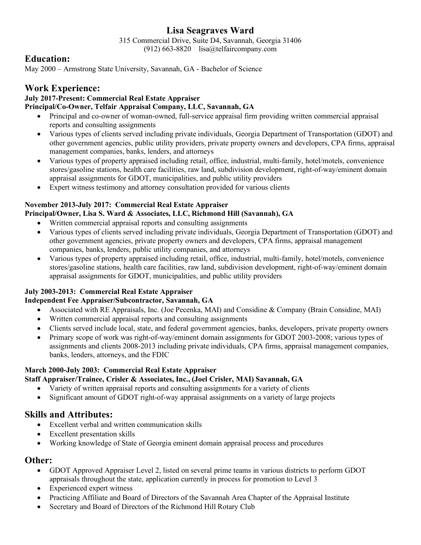# **Lisa Seagraves Ward**

315 Commercial Drive, Suite D4, Savannah, Georgia 31406

(912) 663-8820 lisa@telfaircompany.com

### **Education:**

May 2000 – Armstrong State University, Savannah, GA - Bachelor of Science

## **Work Experience:**

#### **July 2017-Present: Commercial Real Estate Appraiser Principal/Co-Owner, Telfair Appraisal Company, LLC, Savannah, GA**

- Principal and co-owner of woman-owned, full-service appraisal firm providing written commercial appraisal reports and consulting assignments
- Various types of clients served including private individuals, Georgia Department of Transportation (GDOT) and other government agencies, public utility providers, private property owners and developers, CPA firms, appraisal management companies, banks, lenders, and attorneys
- Various types of property appraised including retail, office, industrial, multi-family, hotel/motels, convenience stores/gasoline stations, health care facilities, raw land, subdivision development, right-of-way/eminent domain appraisal assignments for GDOT, municipalities, and public utility providers
- Expert witness testimony and attorney consultation provided for various clients

### **November 2013-July 2017: Commercial Real Estate Appraiser**

- **Principal/Owner, Lisa S. Ward & Associates, LLC, Richmond Hill (Savannah), GA**
	- Written commercial appraisal reports and consulting assignments
	- Various types of clients served including private individuals, Georgia Department of Transportation (GDOT) and other government agencies, private property owners and developers, CPA firms, appraisal management companies, banks, lenders, public utility companies, and attorneys
	- Various types of property appraised including retail, office, industrial, multi-family, hotel/motels, convenience stores/gasoline stations, health care facilities, raw land, subdivision development, right-of-way/eminent domain appraisal assignments for GDOT, municipalities, and public utility providers

#### **July 2003-2013: Commercial Real Estate Appraiser**

#### **Independent Fee Appraiser/Subcontractor, Savannah, GA**

- Associated with RE Appraisals, Inc. (Joe Pecenka, MAI) and Considine & Company (Brain Considine, MAI)
- Written commercial appraisal reports and consulting assignments
- Clients served include local, state, and federal government agencies, banks, developers, private property owners
- Primary scope of work was right-of-way/eminent domain assignments for GDOT 2003-2008; various types of assignments and clients 2008-2013 including private individuals, CPA firms, appraisal management companies, banks, lenders, attorneys, and the FDIC

#### **March 2000-July 2003: Commercial Real Estate Appraiser**

#### **Staff Appraiser/Trainee, Crisler & Associates, Inc., (Joel Crisler, MAI) Savannah, GA**

- Variety of written appraisal reports and consulting assignments for a variety of clients
- Significant amount of GDOT right-of-way appraisal assignments on a variety of large projects

### **Skills and Attributes:**

- Excellent verbal and written communication skills
- Excellent presentation skills
- Working knowledge of State of Georgia eminent domain appraisal process and procedures

### **Other:**

- GDOT Approved Appraiser Level 2, listed on several prime teams in various districts to perform GDOT appraisals throughout the state, application currently in process for promotion to Level 3
- Experienced expert witness
- Practicing Affiliate and Board of Directors of the Savannah Area Chapter of the Appraisal Institute
- Secretary and Board of Directors of the Richmond Hill Rotary Club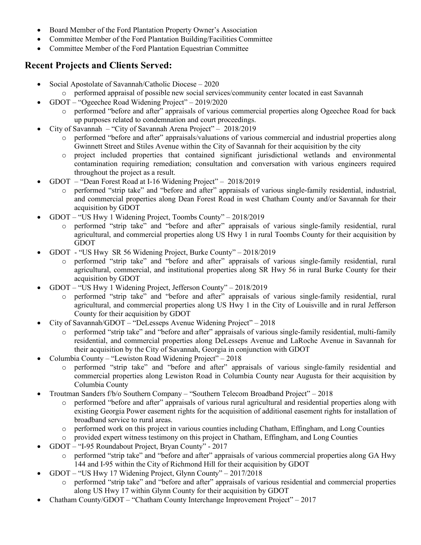- Board Member of the Ford Plantation Property Owner's Association
- Committee Member of the Ford Plantation Building/Facilities Committee
- Committee Member of the Ford Plantation Equestrian Committee

## **Recent Projects and Clients Served:**

- Social Apostolate of Savannah/Catholic Diocese 2020
	- o performed appraisal of possible new social services/community center located in east Savannah
- GDOT "Ogeechee Road Widening Project" 2019/2020
	- o performed "before and after" appraisals of various commercial properties along Ogeechee Road for back up purposes related to condemnation and court proceedings.
- City of Savannah "City of Savannah Arena Project" 2018/2019
	- o performed "before and after" appraisals/valuations of various commercial and industrial properties along Gwinnett Street and Stiles Avenue within the City of Savannah for their acquisition by the city
	- o project included properties that contained significant jurisdictional wetlands and environmental contamination requiring remediation; consultation and conversation with various engineers required throughout the project as a result.
- GDOT "Dean Forest Road at I-16 Widening Project" 2018/2019
	- o performed "strip take" and "before and after" appraisals of various single-family residential, industrial, and commercial properties along Dean Forest Road in west Chatham County and/or Savannah for their acquisition by GDOT
- GDOT "US Hwy 1 Widening Project, Toombs County" 2018/2019
	- o performed "strip take" and "before and after" appraisals of various single-family residential, rural agricultural, and commercial properties along US Hwy 1 in rural Toombs County for their acquisition by GDOT
- GDOT "US Hwy SR 56 Widening Project, Burke County" 2018/2019
	- o performed "strip take" and "before and after" appraisals of various single-family residential, rural agricultural, commercial, and institutional properties along SR Hwy 56 in rural Burke County for their acquisition by GDOT
- GDOT "US Hwy 1 Widening Project, Jefferson County" 2018/2019
	- o performed "strip take" and "before and after" appraisals of various single-family residential, rural agricultural, and commercial properties along US Hwy 1 in the City of Louisville and in rural Jefferson County for their acquisition by GDOT
- City of Savannah/GDOT "DeLesseps Avenue Widening Project" 2018
	- o performed "strip take" and "before and after" appraisals of various single-family residential, multi-family residential, and commercial properties along DeLesseps Avenue and LaRoche Avenue in Savannah for their acquisition by the City of Savannah, Georgia in conjunction with GDOT
- Columbia County "Lewiston Road Widening Project" 2018
	- performed "strip take" and "before and after" appraisals of various single-family residential and commercial properties along Lewiston Road in Columbia County near Augusta for their acquisition by Columbia County
- Troutman Sanders f/b/o Southern Company "Southern Telecom Broadband Project" 2018
	- o performed "before and after" appraisals of various rural agricultural and residential properties along with existing Georgia Power easement rights for the acquisition of additional easement rights for installation of broadband service to rural areas.
	- o performed work on this project in various counties including Chatham, Effingham, and Long Counties
	- o provided expert witness testimony on this project in Chatham, Effingham, and Long Counties
- GDOT "I-95 Roundabout Project, Bryan County" 2017
	- o performed "strip take" and "before and after" appraisals of various commercial properties along GA Hwy 144 and I-95 within the City of Richmond Hill for their acquisition by GDOT
	- GDOT "US Hwy 17 Widening Project, Glynn County" 2017/2018
		- o performed "strip take" and "before and after" appraisals of various residential and commercial properties along US Hwy 17 within Glynn County for their acquisition by GDOT
- Chatham County/GDOT "Chatham County Interchange Improvement Project" 2017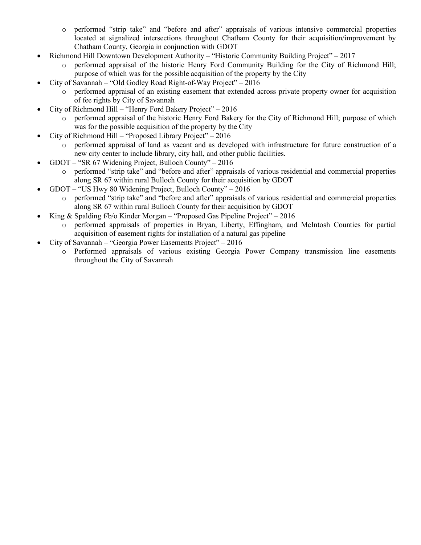- o performed "strip take" and "before and after" appraisals of various intensive commercial properties located at signalized intersections throughout Chatham County for their acquisition/improvement by Chatham County, Georgia in conjunction with GDOT
- Richmond Hill Downtown Development Authority "Historic Community Building Project" 2017
	- o performed appraisal of the historic Henry Ford Community Building for the City of Richmond Hill; purpose of which was for the possible acquisition of the property by the City
- City of Savannah "Old Godley Road Right-of-Way Project" 2016
	- o performed appraisal of an existing easement that extended across private property owner for acquisition of fee rights by City of Savannah
- City of Richmond Hill "Henry Ford Bakery Project" 2016
	- o performed appraisal of the historic Henry Ford Bakery for the City of Richmond Hill; purpose of which was for the possible acquisition of the property by the City
- City of Richmond Hill "Proposed Library Project" 2016
	- o performed appraisal of land as vacant and as developed with infrastructure for future construction of a new city center to include library, city hall, and other public facilities.
- GDOT "SR 67 Widening Project, Bulloch County" 2016
	- o performed "strip take" and "before and after" appraisals of various residential and commercial properties along SR 67 within rural Bulloch County for their acquisition by GDOT
	- GDOT "US Hwy 80 Widening Project, Bulloch County" 2016
		- o performed "strip take" and "before and after" appraisals of various residential and commercial properties along SR 67 within rural Bulloch County for their acquisition by GDOT
- King & Spalding  $f/b$ /o Kinder Morgan "Proposed Gas Pipeline Project" 2016
	- o performed appraisals of properties in Bryan, Liberty, Effingham, and McIntosh Counties for partial acquisition of easement rights for installation of a natural gas pipeline
- City of Savannah "Georgia Power Easements Project" 2016
	- o Performed appraisals of various existing Georgia Power Company transmission line easements throughout the City of Savannah